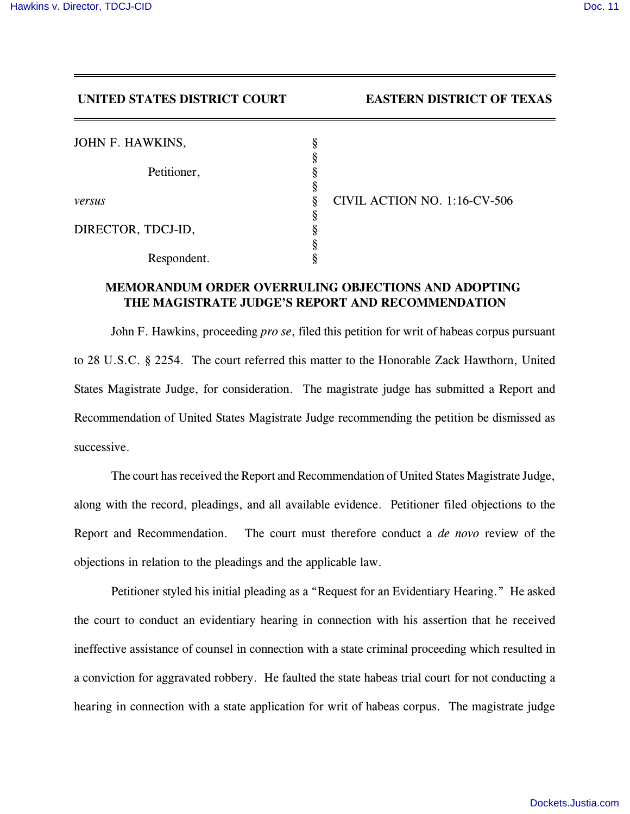## **UNITED STATES DISTRICT COURT EASTERN DISTRICT OF TEXAS**

| JOHN F. HAWKINS,   |  |
|--------------------|--|
| Petitioner,        |  |
|                    |  |
| versus             |  |
|                    |  |
| DIRECTOR, TDCJ-ID, |  |
|                    |  |
| Respondent.        |  |

*versus* § CIVIL ACTION NO. 1:16-CV-506

## **MEMORANDUM ORDER OVERRULING OBJECTIONS AND ADOPTING THE MAGISTRATE JUDGE'S REPORT AND RECOMMENDATION**

John F. Hawkins, proceeding *pro se*, filed this petition for writ of habeas corpus pursuant to 28 U.S.C. § 2254. The court referred this matter to the Honorable Zack Hawthorn, United States Magistrate Judge, for consideration. The magistrate judge has submitted a Report and Recommendation of United States Magistrate Judge recommending the petition be dismissed as successive.

The court has received the Report and Recommendation of United States Magistrate Judge, along with the record, pleadings, and all available evidence. Petitioner filed objections to the Report and Recommendation. The court must therefore conduct a *de novo* review of the objections in relation to the pleadings and the applicable law.

Petitioner styled his initial pleading as a "Request for an Evidentiary Hearing." He asked the court to conduct an evidentiary hearing in connection with his assertion that he received ineffective assistance of counsel in connection with a state criminal proceeding which resulted in a conviction for aggravated robbery. He faulted the state habeas trial court for not conducting a hearing in connection with a state application for writ of habeas corpus. The magistrate judge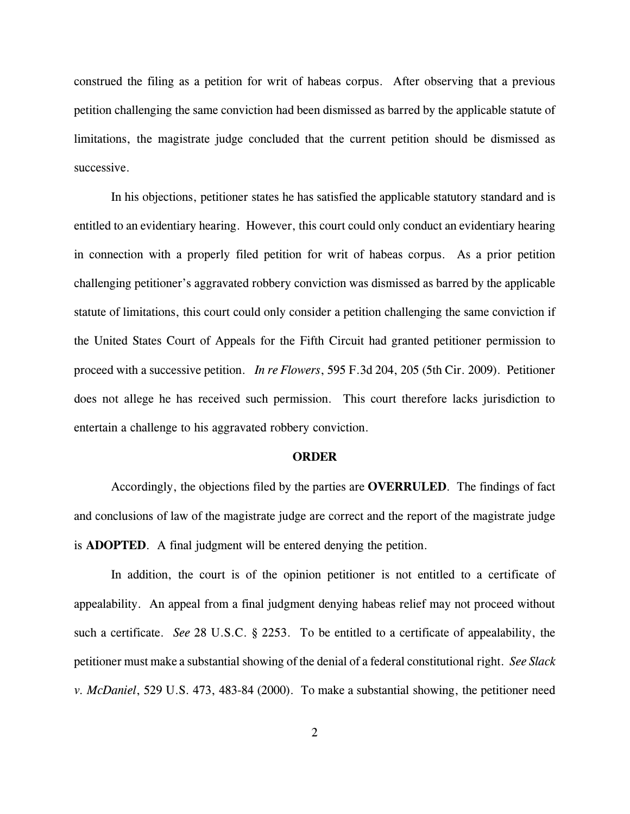construed the filing as a petition for writ of habeas corpus. After observing that a previous petition challenging the same conviction had been dismissed as barred by the applicable statute of limitations, the magistrate judge concluded that the current petition should be dismissed as successive.

In his objections, petitioner states he has satisfied the applicable statutory standard and is entitled to an evidentiary hearing. However, this court could only conduct an evidentiary hearing in connection with a properly filed petition for writ of habeas corpus. As a prior petition challenging petitioner's aggravated robbery conviction was dismissed as barred by the applicable statute of limitations, this court could only consider a petition challenging the same conviction if the United States Court of Appeals for the Fifth Circuit had granted petitioner permission to proceed with a successive petition. *In re Flowers*, 595 F.3d 204, 205 (5th Cir. 2009). Petitioner does not allege he has received such permission. This court therefore lacks jurisdiction to entertain a challenge to his aggravated robbery conviction.

## **ORDER**

Accordingly, the objections filed by the parties are **OVERRULED**. The findings of fact and conclusions of law of the magistrate judge are correct and the report of the magistrate judge is **ADOPTED**. A final judgment will be entered denying the petition.

In addition, the court is of the opinion petitioner is not entitled to a certificate of appealability. An appeal from a final judgment denying habeas relief may not proceed without such a certificate. *See* 28 U.S.C. § 2253. To be entitled to a certificate of appealability, the petitioner must make a substantial showing of the denial of a federal constitutional right. *See Slack v. McDaniel*, 529 U.S. 473, 483-84 (2000). To make a substantial showing, the petitioner need